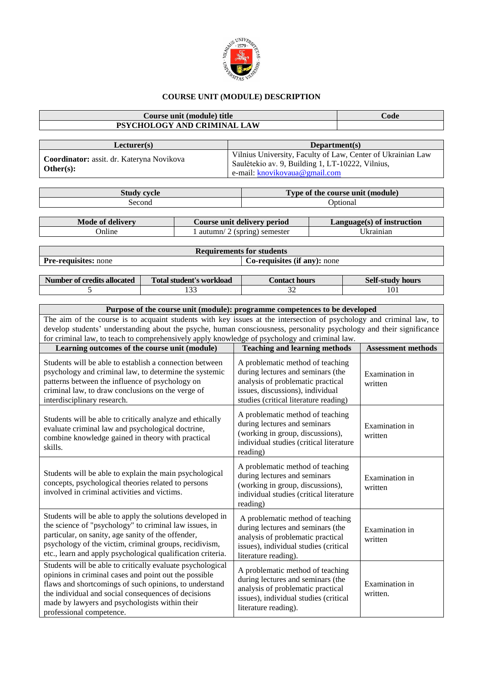

## **COURSE UNIT (MODULE) DESCRIPTION**

## **Course unit (module) title Code PSYCHOLOGY AND CRIMINAL LAW Lecturer(s) Department(s) Coordinator:** assit. dr. Kateryna Novikova **Other(s):** Vilnius University, Faculty of Law, Center of Ukrainian Law Saulėtekio av. 9, Building 1, LT-10222, Vilnius, e-mail: [knovikovaua@gmail.com](mailto:knovikovaua@gmail.com) **Study cycle Type of the course unit (module)** Second Optional Optional **Mode of delivery Course unit delivery period Language(s) of instruction** Online 1 autumn/ 2 (spring) semester Ukrainian **Requirements for students Pre-requisites:** none **Co-requisites** (if any): none **Number of credits allocated Total student's workload Contact hours** Self-study hours 5 133 133 32 101 **Purpose of the course unit (module): programme competences to be developed** The aim of the course is to acquaint students with key issues at the intersection of psychology and criminal law, to develop students' understanding about the psyche, human consciousness, personality psychology and their significance for criminal law, to teach to comprehensively apply knowledge of psychology and criminal law. **Learning outcomes of the course unit (module) Teaching and learning methods Assessment methods** Students will be able to establish a connection between psychology and criminal law, to determine the systemic patterns between the influence of psychology on criminal law, to draw conclusions on the verge of interdisciplinary research. A problematic method of teaching during lectures and seminars (the analysis of problematic practical issues, discussions), individual studies (critical literature reading) Examination in written Students will be able to critically analyze and ethically evaluate criminal law and psychological doctrine, combine knowledge gained in theory with practical skills. A problematic method of teaching during lectures and seminars (working in group, discussions), individual studies (critical literature reading) Examination in written Students will be able to explain the main psychological concepts, psychological theories related to persons involved in criminal activities and victims. A problematic method of teaching during lectures and seminars (working in group, discussions), individual studies (critical literature reading) Examination in written Students will be able to apply the solutions developed in the science of "psychology" to criminal law issues, in particular, on sanity, age sanity of the offender, psychology of the victim, criminal groups, recidivism, etc., learn and apply psychological qualification criteria. A problematic method of teaching during lectures and seminars (the analysis of problematic practical issues), individual studies (critical literature reading). Examination in written Students will be able to critically evaluate psychological opinions in criminal cases and point out the possible flaws and shortcomings of such opinions, to understand the individual and social consequences of decisions made by lawyers and psychologists within their professional competence. A problematic method of teaching during lectures and seminars (the analysis of problematic practical issues), individual studies (critical literature reading). Examination in written.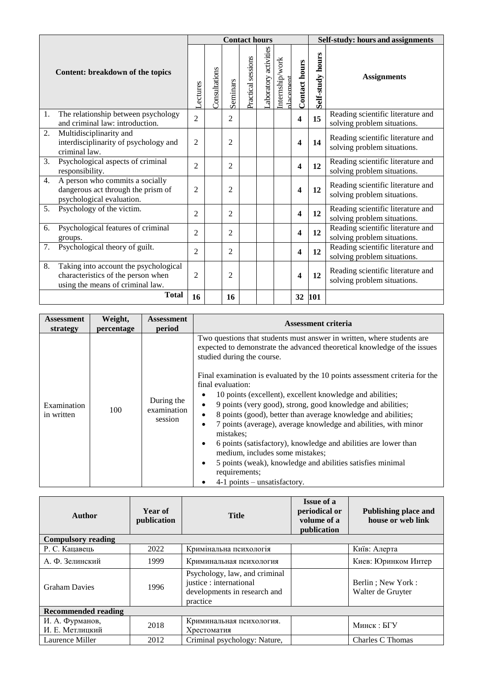|    |                                                                                                                 |                | <b>Contact hours</b> |                |                    |                      |                             |               | Self-study: hours and assignments |                                                                  |
|----|-----------------------------------------------------------------------------------------------------------------|----------------|----------------------|----------------|--------------------|----------------------|-----------------------------|---------------|-----------------------------------|------------------------------------------------------------------|
|    | Content: breakdown of the topics                                                                                | <b>ectures</b> | Consultations        | Seminars       | Practical sessions | aboratory activities | Internship/work<br>dacement | Contact hours | Self-study hours                  | <b>Assignments</b>                                               |
| 1. | The relationship between psychology<br>and criminal law: introduction.                                          | $\overline{2}$ |                      | $\overline{2}$ |                    |                      |                             | 4             | 15                                | Reading scientific literature and<br>solving problem situations. |
| 2. | Multidisciplinarity and<br>interdisciplinarity of psychology and<br>criminal law.                               | 2              |                      | $\overline{c}$ |                    |                      |                             | 4             | 14                                | Reading scientific literature and<br>solving problem situations. |
| 3. | Psychological aspects of criminal<br>responsibility.                                                            | $\overline{2}$ |                      | $\overline{2}$ |                    |                      |                             | 4             | 12                                | Reading scientific literature and<br>solving problem situations. |
| 4. | A person who commits a socially<br>dangerous act through the prism of<br>psychological evaluation.              | $\overline{c}$ |                      | $\overline{c}$ |                    |                      |                             | 4             | 12                                | Reading scientific literature and<br>solving problem situations. |
| 5. | Psychology of the victim.                                                                                       | $\overline{2}$ |                      | $\overline{2}$ |                    |                      |                             | 4             | 12                                | Reading scientific literature and<br>solving problem situations. |
| 6. | Psychological features of criminal<br>groups.                                                                   | $\overline{2}$ |                      | $\overline{2}$ |                    |                      |                             | 4             | 12                                | Reading scientific literature and<br>solving problem situations. |
| 7. | Psychological theory of guilt.                                                                                  | $\overline{c}$ |                      | $\overline{c}$ |                    |                      |                             | 4             | 12                                | Reading scientific literature and<br>solving problem situations. |
| 8. | Taking into account the psychological<br>characteristics of the person when<br>using the means of criminal law. | $\overline{2}$ |                      | $\overline{c}$ |                    |                      |                             | 4             | 12                                | Reading scientific literature and<br>solving problem situations. |
|    | <b>Total</b>                                                                                                    | 16             |                      | 16             |                    |                      |                             | 32            | 101                               |                                                                  |

| <b>Assessment</b><br>strategy | Weight,<br>percentage | <b>Assessment</b><br>period          | <b>Assessment criteria</b>                                                                                                                                                                                                                                                                                                                                                                                                                                                                                                                                                                                                                                                                                                                                                                      |  |  |  |
|-------------------------------|-----------------------|--------------------------------------|-------------------------------------------------------------------------------------------------------------------------------------------------------------------------------------------------------------------------------------------------------------------------------------------------------------------------------------------------------------------------------------------------------------------------------------------------------------------------------------------------------------------------------------------------------------------------------------------------------------------------------------------------------------------------------------------------------------------------------------------------------------------------------------------------|--|--|--|
| Examination<br>in written     | 100                   | During the<br>examination<br>session | Two questions that students must answer in written, where students are<br>expected to demonstrate the advanced theoretical knowledge of the issues<br>studied during the course.<br>Final examination is evaluated by the 10 points assessment criteria for the<br>final evaluation:<br>10 points (excellent), excellent knowledge and abilities;<br>9 points (very good), strong, good knowledge and abilities;<br>٠<br>8 points (good), better than average knowledge and abilities;<br>$\bullet$<br>7 points (average), average knowledge and abilities, with minor<br>$\bullet$<br>mistakes:<br>6 points (satisfactory), knowledge and abilities are lower than<br>٠<br>medium, includes some mistakes;<br>5 points (weak), knowledge and abilities satisfies minimal<br>٠<br>requirements; |  |  |  |
|                               |                       |                                      | $4-1$ points – unsatisfactory.                                                                                                                                                                                                                                                                                                                                                                                                                                                                                                                                                                                                                                                                                                                                                                  |  |  |  |

| Author                             | Year of<br>publication | <b>Title</b>                                                                                         | <b>Issue of a</b><br>periodical or<br>volume of a<br>publication | Publishing place and<br>house or web link |  |  |  |
|------------------------------------|------------------------|------------------------------------------------------------------------------------------------------|------------------------------------------------------------------|-------------------------------------------|--|--|--|
| <b>Compulsory reading</b>          |                        |                                                                                                      |                                                                  |                                           |  |  |  |
| Р. С. Кацавець                     | 2022                   | Кримінальна психологія                                                                               |                                                                  | Київ: Алерта                              |  |  |  |
| А. Ф. Зелинский                    | 1999                   | Криминальная психология                                                                              |                                                                  | Киев: Юринком Интер                       |  |  |  |
| <b>Graham Davies</b>               | 1996                   | Psychology, law, and criminal<br>justice : international<br>developments in research and<br>practice |                                                                  | Berlin; New York:<br>Walter de Gruyter    |  |  |  |
| <b>Recommended reading</b>         |                        |                                                                                                      |                                                                  |                                           |  |  |  |
| И. А. Фурманов,<br>И. Е. Метлицкий | 2018                   | Криминальная психология.<br>Хрестоматия                                                              |                                                                  | Минск: БГУ                                |  |  |  |
| Laurence Miller                    | 2012                   | Criminal psychology: Nature,                                                                         |                                                                  | Charles C Thomas                          |  |  |  |